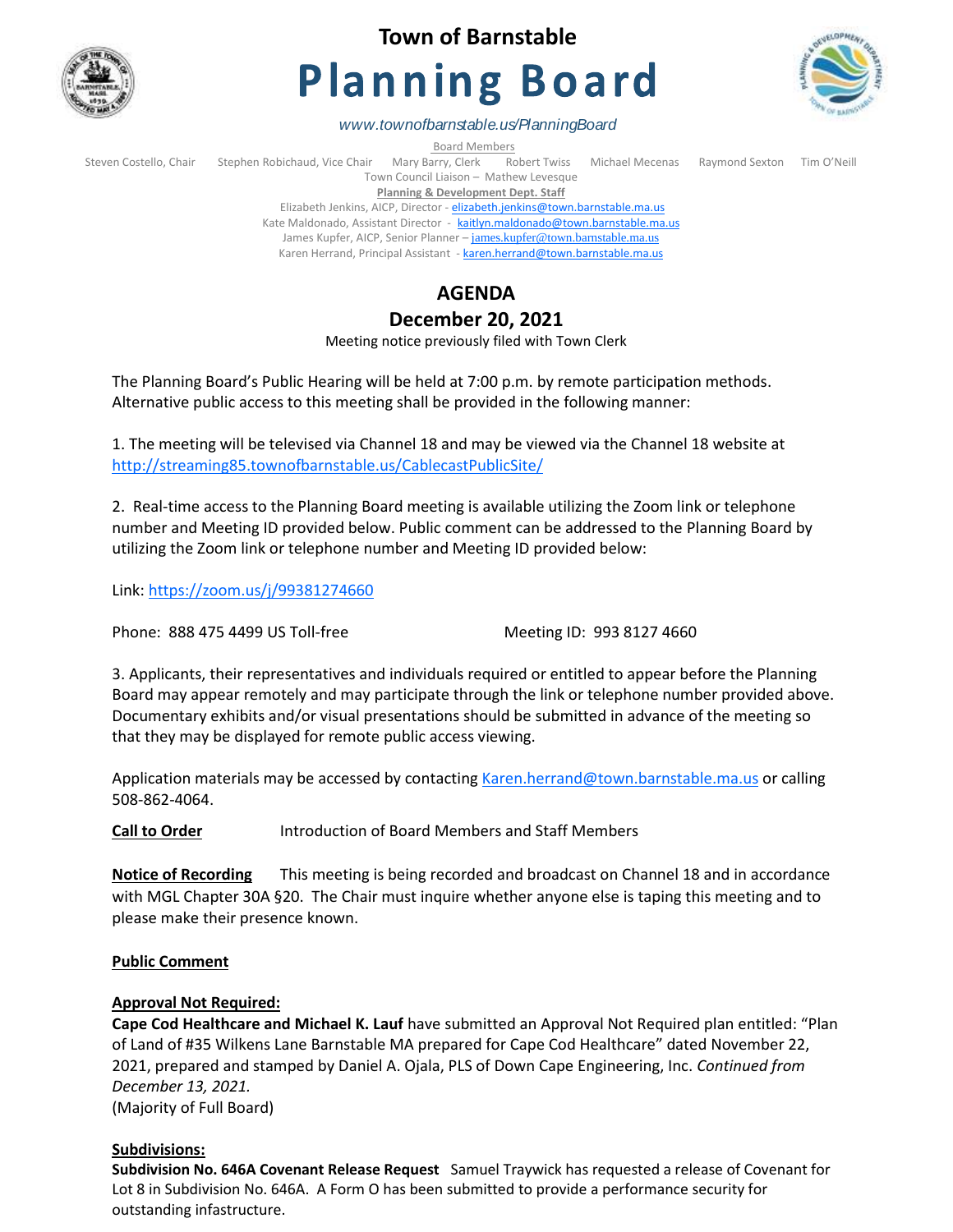

# **Town of Barnstable**

# **Planning Board**



*www.townofbarnstable.us/PlanningBoard*

Board Members<br>Stephen Robichaud, Vice Chair Mary Barry, Clerk Re Steven Costello, Chair Stephen Robichaud, Vice Chair Mary Barry, Clerk Robert Twiss Michael Mecenas Raymond Sexton Tim O'Neill Town Council Liaison – Mathew Levesque

**Planning & Development Dept. Staff**  Elizabeth Jenkins, AICP, Director - [elizabeth.jenkins@town.barnstable.ma.us](mailto:elizabeth.jenkins@town.barnstable.ma.us)

Kate Maldonado, Assistant Director - [kaitlyn.maldonado@town.barnstable.ma.us](mailto:kaitlyn.maldonado@town.barnstable.ma.us)

James Kupfer, AICP, Senior Planner - [james.kupfer@town.barnstable.ma.us](mailto:james.kupfer@town.barnstable.ma.us)

Karen Herrand, Principal Assistant - [karen.herrand@town.barnstable.ma.us](mailto:karen.herrand@town.barnstable.ma.us)

## **AGENDA**

### **December 20, 2021**

Meeting notice previously filed with Town Clerk

The Planning Board's Public Hearing will be held at 7:00 p.m. by remote participation methods. Alternative public access to this meeting shall be provided in the following manner:

1. The meeting will be televised via Channel 18 and may be viewed via the Channel 18 website at <http://streaming85.townofbarnstable.us/CablecastPublicSite/>

2. Real-time access to the Planning Board meeting is available utilizing the Zoom link or telephone number and Meeting ID provided below. Public comment can be addressed to the Planning Board by utilizing the Zoom link or telephone number and Meeting ID provided below:

Link:<https://zoom.us/j/99381274660>

Phone: 888 475 4499 US Toll-free Meeting ID: 993 8127 4660

3. Applicants, their representatives and individuals required or entitled to appear before the Planning Board may appear remotely and may participate through the link or telephone number provided above. Documentary exhibits and/or visual presentations should be submitted in advance of the meeting so that they may be displayed for remote public access viewing.

Application materials may be accessed by contacting [Karen.herrand@town.barnstable.ma.us](mailto:Karen.herrand@town.barnstable.ma.us) or calling 508-862-4064.

**Call to Order** Introduction of Board Members and Staff Members

**Notice of Recording** This meeting is being recorded and broadcast on Channel 18 and in accordance with MGL Chapter 30A §20. The Chair must inquire whether anyone else is taping this meeting and to please make their presence known.

#### **Public Comment**

#### **Approval Not Required:**

**Cape Cod Healthcare and Michael K. Lauf** have submitted an Approval Not Required plan entitled: "Plan of Land of #35 Wilkens Lane Barnstable MA prepared for Cape Cod Healthcare" dated November 22, 2021, prepared and stamped by Daniel A. Ojala, PLS of Down Cape Engineering, Inc. *Continued from December 13, 2021.* (Majority of Full Board)

**Subdivisions:**

**Subdivision No. 646A Covenant Release Request** Samuel Traywick has requested a release of Covenant for Lot 8 in Subdivision No. 646A. A Form O has been submitted to provide a performance security for outstanding infastructure.